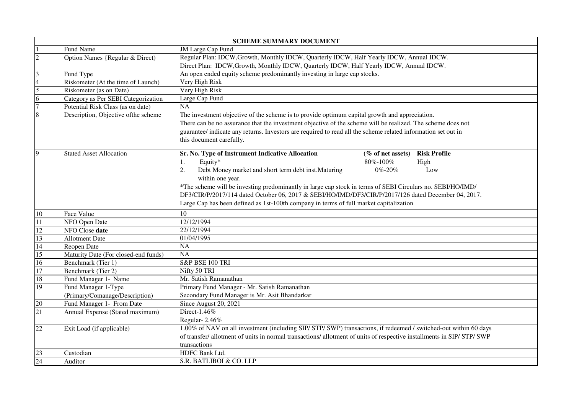|                         |                                      | <b>SCHEME SUMMARY DOCUMENT</b>                                                                                         |
|-------------------------|--------------------------------------|------------------------------------------------------------------------------------------------------------------------|
|                         | Fund Name                            | JM Large Cap Fund                                                                                                      |
| $\overline{2}$          | Option Names {Regular & Direct)      | Regular Plan: IDCW, Growth, Monthly IDCW, Quarterly IDCW, Half Yearly IDCW, Annual IDCW.                               |
|                         |                                      | Direct Plan: IDCW, Growth, Monthly IDCW, Quarterly IDCW, Half Yearly IDCW, Annual IDCW.                                |
| $\overline{\mathbf{3}}$ | Fund Type                            | An open ended equity scheme predominantly investing in large cap stocks.                                               |
| $\overline{4}$          | Riskometer (At the time of Launch)   | Very High Risk                                                                                                         |
| $\overline{5}$          | Riskometer (as on Date)              | Very High Risk                                                                                                         |
| $\overline{6}$          | Category as Per SEBI Categorization  | Large Cap Fund                                                                                                         |
| $\overline{7}$          | Potential Risk Class (as on date)    | NA                                                                                                                     |
| $\overline{8}$          | Description, Objective of the scheme | The investment objective of the scheme is to provide optimum capital growth and appreciation.                          |
|                         |                                      | There can be no assurance that the investment objective of the scheme will be realized. The scheme does not            |
|                         |                                      | guarantee/ indicate any returns. Investors are required to read all the scheme related information set out in          |
|                         |                                      | this document carefully.                                                                                               |
|                         |                                      |                                                                                                                        |
| 9                       | <b>Stated Asset Allocation</b>       | Sr. No. Type of Instrument Indicative Allocation<br><b>Risk Profile</b><br>(% of net assets)                           |
|                         |                                      | Equity*<br>80%-100%<br>High<br>1.                                                                                      |
|                         |                                      | Debt Money market and short term debt inst. Maturing<br>2.<br>0%-20%<br>Low                                            |
|                         |                                      | within one year.                                                                                                       |
|                         |                                      | *The scheme will be investing predominantly in large cap stock in terms of SEBI Circulars no. SEBI/HO/IMD/             |
|                         |                                      | DF3/CIR/P/2017/114 dated October 06, 2017 & SEBI/HO/IMD/DF3/CIR/P/2017/126 dated December 04, 2017.                    |
|                         |                                      | Large Cap has been defined as 1st-100th company in terms of full market capitalization                                 |
| 10                      | Face Value                           | 10                                                                                                                     |
| $\overline{11}$         | NFO Open Date                        | 12/12/1994                                                                                                             |
| 12                      | NFO Close date                       | 22/12/1994                                                                                                             |
| 13                      | Allotment Date                       | 01/04/1995                                                                                                             |
| 14                      | Reopen Date                          | $\overline{NA}$                                                                                                        |
| 15                      | Maturity Date (For closed-end funds) | NA                                                                                                                     |
| 16                      | Benchmark (Tier 1)                   | S&P BSE 100 TRI                                                                                                        |
| 17                      | Benchmark (Tier 2)                   | Nifty 50 TRI                                                                                                           |
| 18                      | Fund Manager 1- Name                 | Mr. Satish Ramanathan                                                                                                  |
| 19                      | Fund Manager 1-Type                  | Primary Fund Manager - Mr. Satish Ramanathan                                                                           |
|                         | (Primary/Comanage/Description)       | Secondary Fund Manager is Mr. Asit Bhandarkar                                                                          |
| 20                      | Fund Manager 1- From Date            | Since August 20, 2021                                                                                                  |
| 21                      | Annual Expense (Stated maximum)      | Direct-1.46%                                                                                                           |
|                         |                                      | Regular-2.46%                                                                                                          |
| $\overline{22}$         | Exit Load (if applicable)            | 1.00% of NAV on all investment (including SIP/ STP/ SWP) transactions, if redeemed / switched-out within 60 days       |
|                         |                                      | of transfer/ allotment of units in normal transactions/ allotment of units of respective installments in SIP/ STP/ SWP |
|                         |                                      | transactions                                                                                                           |
| 23                      | Custodian                            | HDFC Bank Ltd.                                                                                                         |
| $\overline{24}$         | Auditor                              | S.R. BATLIBOI & CO. LLP                                                                                                |
|                         |                                      |                                                                                                                        |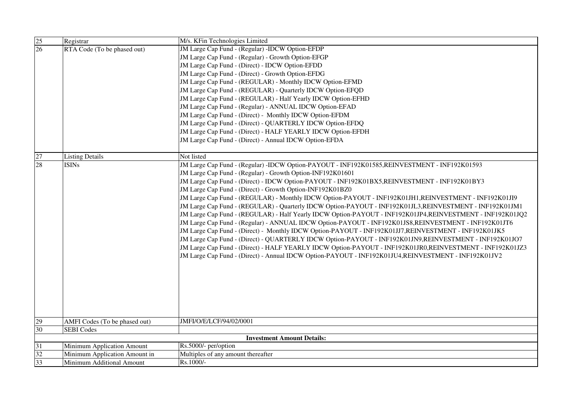| $\overline{25}$ | Registrar                              | M/s. KFin Technologies Limited                                                                            |
|-----------------|----------------------------------------|-----------------------------------------------------------------------------------------------------------|
| $\overline{26}$ | RTA Code (To be phased out)            | JM Large Cap Fund - (Regular) - IDCW Option-EFDP                                                          |
|                 |                                        | JM Large Cap Fund - (Regular) - Growth Option-EFGP                                                        |
|                 |                                        | JM Large Cap Fund - (Direct) - IDCW Option-EFDD                                                           |
|                 |                                        | JM Large Cap Fund - (Direct) - Growth Option-EFDG                                                         |
|                 |                                        | JM Large Cap Fund - (REGULAR) - Monthly IDCW Option-EFMD                                                  |
|                 |                                        | JM Large Cap Fund - (REGULAR) - Quarterly IDCW Option-EFQD                                                |
|                 |                                        | JM Large Cap Fund - (REGULAR) - Half Yearly IDCW Option-EFHD                                              |
|                 |                                        | JM Large Cap Fund - (Regular) - ANNUAL IDCW Option-EFAD                                                   |
|                 |                                        | JM Large Cap Fund - (Direct) - Monthly IDCW Option-EFDM                                                   |
|                 |                                        | JM Large Cap Fund - (Direct) - QUARTERLY IDCW Option-EFDQ                                                 |
|                 |                                        | JM Large Cap Fund - (Direct) - HALF YEARLY IDCW Option-EFDH                                               |
|                 |                                        | JM Large Cap Fund - (Direct) - Annual IDCW Option-EFDA                                                    |
| 27              |                                        | Not listed                                                                                                |
| 28              | <b>Listing Details</b><br><b>ISINs</b> | JM Large Cap Fund - (Regular) -IDCW Option-PAYOUT - INF192K01585,REINVESTMENT - INF192K01593              |
|                 |                                        | JM Large Cap Fund - (Regular) - Growth Option-INF192K01601                                                |
|                 |                                        | JM Large Cap Fund - (Direct) - IDCW Option-PAYOUT - INF192K01BX5, REINVESTMENT - INF192K01BY3             |
|                 |                                        | JM Large Cap Fund - (Direct) - Growth Option-INF192K01BZ0                                                 |
|                 |                                        | JM Large Cap Fund - (REGULAR) - Monthly IDCW Option-PAYOUT - INF192K01JH1, REINVESTMENT - INF192K01JI9    |
|                 |                                        | JM Large Cap Fund - (REGULAR) - Quarterly IDCW Option-PAYOUT - INF192K01JL3,REINVESTMENT - INF192K01JM1   |
|                 |                                        | JM Large Cap Fund - (REGULAR) - Half Yearly IDCW Option-PAYOUT - INF192K01JP4,REINVESTMENT - INF192K01JQ2 |
|                 |                                        | JM Large Cap Fund - (Regular) - ANNUAL IDCW Option-PAYOUT - INF192K01JS8,REINVESTMENT - INF192K01JT6      |
|                 |                                        | JM Large Cap Fund - (Direct) - Monthly IDCW Option-PAYOUT - INF192K01JJ7,REINVESTMENT - INF192K01JK5      |
|                 |                                        | JM Large Cap Fund - (Direct) - QUARTERLY IDCW Option-PAYOUT - INF192K01JN9,REINVESTMENT - INF192K01JO7    |
|                 |                                        | JM Large Cap Fund - (Direct) - HALF YEARLY IDCW Option-PAYOUT - INF192K01JR0,REINVESTMENT - INF192K01JZ3  |
|                 |                                        | JM Large Cap Fund - (Direct) - Annual IDCW Option-PAYOUT - INF192K01JU4,REINVESTMENT - INF192K01JV2       |
|                 |                                        |                                                                                                           |
|                 |                                        |                                                                                                           |
|                 |                                        |                                                                                                           |
|                 |                                        |                                                                                                           |
|                 |                                        |                                                                                                           |
|                 |                                        |                                                                                                           |
|                 |                                        |                                                                                                           |
| 29              | AMFI Codes (To be phased out)          | JMFI/O/E/LCF/94/02/0001                                                                                   |
| 30              | <b>SEBI</b> Codes                      |                                                                                                           |
|                 |                                        | <b>Investment Amount Details:</b>                                                                         |
| $\overline{31}$ | Minimum Application Amount             | Rs.5000/- per/option                                                                                      |
| 32              | Minimum Application Amount in          | Multiples of any amount thereafter                                                                        |
| 33              | Minimum Additional Amount              | Rs.1000/-                                                                                                 |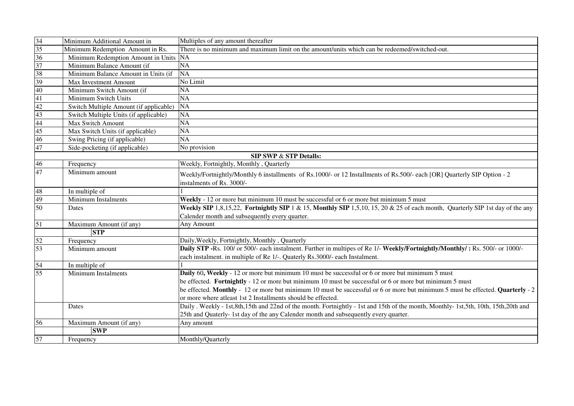| 34              | Minimum Additional Amount in           | Multiples of any amount thereafter                                                                                                |
|-----------------|----------------------------------------|-----------------------------------------------------------------------------------------------------------------------------------|
| 35              | Minimum Redemption Amount in Rs.       | There is no minimum and maximum limit on the amount/units which can be redeemed/switched-out.                                     |
| $\overline{36}$ | Minimum Redemption Amount in Units NA  |                                                                                                                                   |
| 37              | Minimum Balance Amount (if             | <b>NA</b>                                                                                                                         |
| 38              | Minimum Balance Amount in Units (if    | <b>NA</b>                                                                                                                         |
| 39              | <b>Max Investment Amount</b>           | No Limit                                                                                                                          |
| 40              | Minimum Switch Amount (if              | <b>NA</b>                                                                                                                         |
| 41              | Minimum Switch Units                   | NA                                                                                                                                |
| 42              | Switch Multiple Amount (if applicable) | <b>NA</b>                                                                                                                         |
| 43              | Switch Multiple Units (if applicable)  | NA                                                                                                                                |
| 44              | Max Switch Amount                      | <b>NA</b>                                                                                                                         |
| 45              | Max Switch Units (if applicable)       | <b>NA</b>                                                                                                                         |
| 46              | Swing Pricing (if applicable)          | <b>NA</b>                                                                                                                         |
| 47              | Side-pocketing (if applicable)         | No provision                                                                                                                      |
|                 |                                        | <b>SIP SWP &amp; STP Details:</b>                                                                                                 |
| 46              | Frequency                              | Weekly, Fortnightly, Monthly, Quarterly                                                                                           |
| 47              | Minimum amount                         | Weekly/Fortnightly/Monthly 6 installments of Rs.1000/- or 12 Installments of Rs.500/- each [OR] Quarterly SIP Option - 2          |
|                 |                                        | instalments of Rs. 3000/-                                                                                                         |
| 48              | In multiple of                         |                                                                                                                                   |
| 49              | Minimum Instalments                    | Weekly - 12 or more but minimum 10 must be successful or 6 or more but minimum 5 must                                             |
| 50              | Dates                                  | Weekly SIP 1,8,15,22, Fortnightly SIP 1 & 15, Monthly SIP 1,5,10, 15, 20 & 25 of each month, Quarterly SIP 1st day of the any     |
|                 |                                        | Calender month and subsequently every quarter.                                                                                    |
| 51              | Maximum Amount (if any)                | Any Amount                                                                                                                        |
|                 | <b>STP</b>                             |                                                                                                                                   |
| 52              | Frequency                              | Daily, Weekly, Fortnightly, Monthly, Quarterly                                                                                    |
| 53              | Minimum amount                         | Daily STP -Rs. 100/ or 500/- each instalment. Further in multipes of Re 1/- Weekly/Fortnightly/Monthly/: Rs. 500/- or 1000/-      |
|                 |                                        | each instalment. in multiple of Re 1/-. Quaterly Rs.3000/- each Instalment.                                                       |
| 54              | In multiple of                         |                                                                                                                                   |
| $\overline{55}$ | <b>Minimum Instalments</b>             | Daily 60, Weekly - 12 or more but minimum 10 must be successful or 6 or more but minimum 5 must                                   |
|                 |                                        | be effected. Fortnightly - 12 or more but minimum 10 must be successful or 6 or more but minimum 5 must                           |
|                 |                                        | be effected. Monthly - 12 or more but minimum 10 must be successful or 6 or more but minimum 5 must be effected. Quarterly - 2    |
|                 |                                        | or more where at east 1st 2 Installments should be effected.                                                                      |
|                 | Dates                                  | Daily. Weekly - 1st,8th,15th and 22nd of the month. Fortnightly - 1st and 15th of the month, Monthly-1st,5th, 10th, 15th,20th and |
|                 |                                        | 25th and Quaterly-1st day of the any Calender month and subsequently every quarter.                                               |
| 56              | Maximum Amount (if any)                | Any amount                                                                                                                        |
|                 | <b>SWP</b>                             |                                                                                                                                   |
|                 |                                        | Monthly/Quarterly                                                                                                                 |